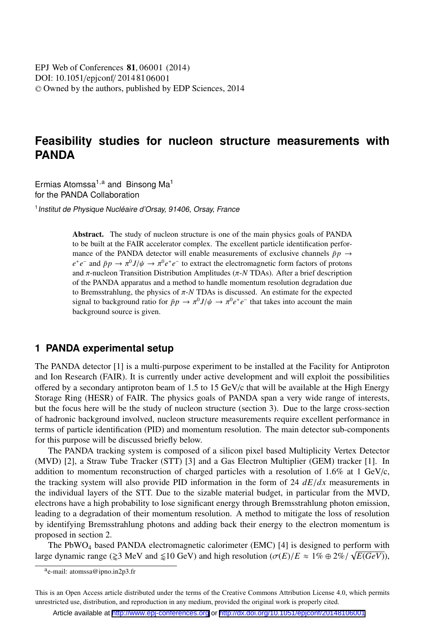DOI: 10.1051/epjconf/20148106001 -<sup>C</sup> Owned by the authors, published by EDP Sciences, 2014 EPJ Web of Conferences **81**, 06001 (2014)

# **Feasibility studies for nucleon structure measurements with PANDA**

Ermias Atomssa<sup>1,a</sup> and Binsong Ma<sup>1</sup> for the PANDA Collaboration

<sup>1</sup> Institut de Physique Nucléaire d'Orsay, 91406, Orsay, France

Abstract. The study of nucleon structure is one of the main physics goals of PANDA to be built at the FAIR accelerator complex. The excellent particle identification performance of the PANDA detector will enable measurements of exclusive channels  $\bar{p}p \rightarrow$  $e^+e^-$  and  $\bar{p}p \to \pi^0 J/\psi \to \pi^0 e^+e^-$  to extract the electromagnetic form factors of protons and π-nucleon Transition Distribution Amplitudes (π-*N* TDAs). After a brief description of the PANDA apparatus and a method to handle momentum resolution degradation due to Bremsstrahlung, the physics of  $\pi$ -*N* TDAs is discussed. An estimate for the expected signal to background ratio for  $\bar{p}p \to \pi^0 J/\psi \to \pi^0 e^+e^-$  that takes into account the main background source is given.

### **1 PANDA experimental setup**

The PANDA detector [1] is a multi-purpose experiment to be installed at the Facility for Antiproton and Ion Research (FAIR). It is currently under active development and will exploit the possibilities offered by a secondary antiproton beam of 1.5 to 15 GeV/c that will be available at the High Energy Storage Ring (HESR) of FAIR. The physics goals of PANDA span a very wide range of interests, but the focus here will be the study of nucleon structure (section 3). Due to the large cross-section of hadronic background involved, nucleon structure measurements require excellent performance in terms of particle identification (PID) and momentum resolution. The main detector sub-components for this purpose will be discussed briefly below.

The PANDA tracking system is composed of a silicon pixel based Multiplicity Vertex Detector (MVD) [2], a Straw Tube Tracker (STT) [3] and a Gas Electron Multiplier (GEM) tracker [1]. In addition to momentum reconstruction of charged particles with a resolution of  $1.6\%$  at 1 GeV/c, the tracking system will also provide PID information in the form of 24 *dE*/*dx* measurements in the individual layers of the STT. Due to the sizable material budget, in particular from the MVD, electrons have a high probability to lose significant energy through Bremsstrahlung photon emission, leading to a degradation of their momentum resolution. A method to mitigate the loss of resolution by identifying Bremsstrahlung photons and adding back their energy to the electron momentum is proposed in section 2.

The PbWO<sub>4</sub> based PANDA electromagnetic calorimeter (EMC) [4] is designed to perform with large dynamic range ( $\geq 3$  MeV and  $\leq 10$  GeV) and high resolution ( $\sigma(E)/E \approx 1\% \oplus 2\% / \sqrt{E(GeV)}$ ),

ae-mail: atomssa@ipno.in2p3.fr

This is an Open Access article distributed under the terms of the Creative Commons Attribution License 4.0, which permits unrestricted use, distribution, and reproduction in any medium, provided the original work is properly cited.

Article available at <http://www.epj-conferences.org> or <http://dx.doi.org/10.1051/epjconf/20148106001>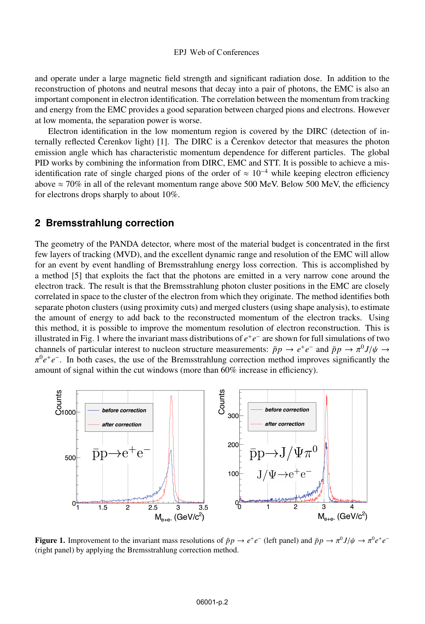#### EPJ Web of C onferences

and operate under a large magnetic field strength and significant radiation dose. In addition to the reconstruction of photons and neutral mesons that decay into a pair of photons, the EMC is also an important component in electron identification. The correlation between the momentum from tracking and energy from the EMC provides a good separation between charged pions and electrons. However at low momenta, the separation power is worse.

Electron identification in the low momentum region is covered by the DIRC (detection of internally reflected Čerenkov light) [1]. The DIRC is a Čerenkov detector that measures the photon emission angle which has characteristic momentum dependence for different particles. The global PID works by combining the information from DIRC, EMC and STT. It is possible to achieve a misidentification rate of single charged pions of the order of  $\approx 10^{-4}$  while keeping electron efficiency above  $\approx$  70% in all of the relevant momentum range above 500 MeV. Below 500 MeV, the efficiency for electrons drops sharply to about 10%.

#### **2 Bremsstrahlung correction**

The geometry of the PANDA detector, where most of the material budget is concentrated in the first few layers of tracking (MVD), and the excellent dynamic range and resolution of the EMC will allow for an event by event handling of Bremsstrahlung energy loss correction. This is accomplished by a method [5] that exploits the fact that the photons are emitted in a very narrow cone around the electron track. The result is that the Bremsstrahlung photon cluster positions in the EMC are closely correlated in space to the cluster of the electron from which they originate. The method identifies both separate photon clusters (using proximity cuts) and merged clusters (using shape analysis), to estimate the amount of energy to add back to the reconstructed momentum of the electron tracks. Using this method, it is possible to improve the momentum resolution of electron reconstruction. This is illustrated in Fig. 1 where the invariant mass distributions of *e*+*e*<sup>−</sup> are shown for full simulations of two channels of particular interest to nucleon structure measurements:  $\bar{p}p \to e^+e^-$  and  $\bar{p}p \to \pi^0 J/\psi \to$ π<sup>0</sup>*e*+*e*−. In both cases, the use of the Bremsstrahlung correction method improves significantly the amount of signal within the cut windows (more than 60% increase in efficiency).



**Figure 1.** Improvement to the invariant mass resolutions of  $\bar{p}p \to e^+e^-$  (left panel) and  $\bar{p}p \to \pi^0 J/\psi \to \pi^0 e^+e^-$ (right panel) by applying the Bremsstrahlung correction method.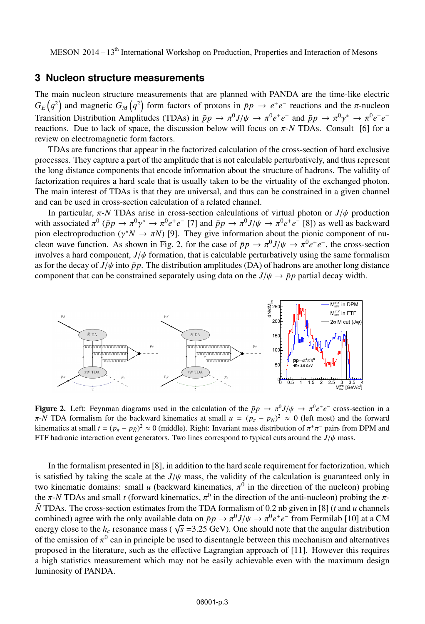MESON 2014 –  $13<sup>th</sup>$  International Workshop on Production, Properties and Interaction of Mesons

#### **3 Nucleon structure measurements**

The main nucleon structure measurements that are planned with PANDA are the time-like electric  $G_E(q^2)$  and magnetic  $G_M(q^2)$  form factors of protons in  $\bar{p}p \to e^+e^-$  reactions and the  $\pi$ -nucleon Transition Distribution Amplitudes (TDAs) in  $\bar{p}p \to \pi^0 J/\psi \to \pi^0 e^+e^-$  and  $\bar{p}p \to \pi^0 \gamma^* \to \pi^0 e^+e^$ reactions. Due to lack of space, the discussion below will focus on π-*N* TDAs. Consult [6] for a review on electromagnetic form factors.

TDAs are functions that appear in the factorized calculation of the cross-section of hard exclusive processes. They capture a part of the amplitude that is not calculable perturbatively, and thus represent the long distance components that encode information about the structure of hadrons. The validity of factorization requires a hard scale that is usually taken to be the virtuality of the exchanged photon. The main interest of TDAs is that they are universal, and thus can be constrained in a given channel and can be used in cross-section calculation of a related channel.

In particular, π-*N* TDAs arise in cross-section calculations of virtual photon or *J*/ψ production with associated  $\pi^0$  ( $\bar{p}p \to \pi^0 \gamma^* \to \pi^0 e^+e^-$  [7] and  $\bar{p}p \to \pi^0 J/\psi \to \pi^0 e^+e^-$  [8]) as well as backward pion electroproduction ( $\gamma^* N \to \pi N$ ) [9]. They give information about the pionic component of nucleon wave function. As shown in Fig. 2, for the case of  $\bar{p}p \to \pi^0 J/\psi \to \pi^0 e^+e^-$ , the cross-section involves a hard component,  $J/\psi$  formation, that is calculable perturbatively using the same formalism as for the decay of  $J/\psi$  into  $\bar{p}p$ . The distribution amplitudes (DA) of hadrons are another long distance component that can be constrained separately using data on the  $J/\psi \rightarrow \bar{p}p$  partial decay width.



**Figure 2.** Left: Feynman diagrams used in the calculation of the  $\bar{p}p \to \pi^0 J/\psi \to \pi^0 e^+e^-$  cross-section in a  $\pi$ -*N* TDA formalism for the backward kinematics at small  $u = (p_\pi - p_N)^2 \approx 0$  (left most) and the forward kinematics at small  $t = (p_\pi - p_{\bar{N}})^2 \approx 0$  (middle). Right: Invariant mass distribution of  $\pi^+\pi^-$  pairs from DPM and FTF hadronic interaction event generators. Two lines correspond to typical cuts around the  $J/\psi$  mass.

In the formalism presented in [8], in addition to the hard scale requirement for factorization, which is satisfied by taking the scale at the  $J/\psi$  mass, the validity of the calculation is guaranteed only in two kinematic domains: small *u* (backward kinematics,  $\pi^0$  in the direction of the nucleon) probing the π-*N* TDAs and small *t* (forward kinematics,  $\pi^0$  in the direction of the anti-nucleon) probing the π-*N* TDAs. The cross-section estimates from the TDA formalism of 0.2 nb given in [8] (*t* and *u* channels combined) agree with the only available data on  $\bar{p}p \to \pi^0 J/\psi \to \pi^0 e^+e^-$  from Fermilab [10] at a CM energy close to the  $h_c$  resonance mass ( $\sqrt{s}$  =3.25 GeV). One should note that the angular distribution of the emission of  $\pi^0$  can in principle be used to disentangle between this mechanism and alternatives proposed in the literature, such as the effective Lagrangian approach of [11]. However this requires a high statistics measurement which may not be easily achievable even with the maximum design luminosity of PANDA.